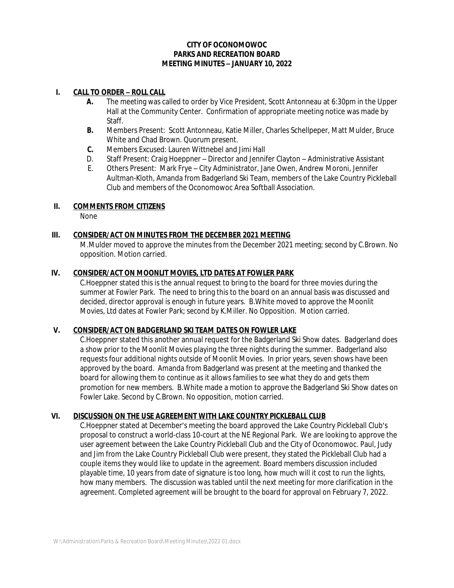## **CITY OF OCONOMOWOC PARKS AND RECREATION BOARD MEETING MINUTES – JANUARY 10, 2022**

### **I. CALL TO ORDER – ROLL CALL**

- **A.** The meeting was called to order by Vice President, Scott Antonneau at 6:30pm in the Upper Hall at the Community Center. Confirmation of appropriate meeting notice was made by Staff.
- **B.** Members Present: Scott Antonneau, Katie Miller, Charles Schellpeper, Matt Mulder, Bruce White and Chad Brown. Quorum present.
- **C.** Members Excused: Lauren Wittnebel and Jimi Hall
- D. Staff Present: Craig Hoeppner Director and Jennifer Clayton Administrative Assistant
- E. Others Present: Mark Frye City Administrator, Jane Owen, Andrew Moroni, Jennifer Aultman-Kloth, Amanda from Badgerland Ski Team, members of the Lake Country Pickleball Club and members of the Oconomowoc Area Softball Association.

# **II. COMMENTS FROM CITIZENS**

None

# **III. CONSIDER/ACT ON MINUTES FROM THE DECEMBER 2021 MEETING**

M.Mulder moved to approve the minutes from the December 2021 meeting; second by C.Brown. No opposition. Motion carried.

## **IV. CONSIDER/ACT ON MOONLIT MOVIES, LTD DATES AT FOWLER PARK**

C.Hoeppner stated this is the annual request to bring to the board for three movies during the summer at Fowler Park. The need to bring this to the board on an annual basis was discussed and decided, director approval is enough in future years. B.White moved to approve the Moonlit Movies, Ltd dates at Fowler Park; second by K.Miller. No Opposition. Motion carried.

#### **V. CONSIDER/ACT ON BADGERLAND SKI TEAM DATES ON FOWLER LAKE**

C.Hoeppner stated this another annual request for the Badgerland Ski Show dates. Badgerland does a show prior to the Moonlit Movies playing the three nights during the summer. Badgerland also requests four additional nights outside of Moonlit Movies. In prior years, seven shows have been approved by the board. Amanda from Badgerland was present at the meeting and thanked the board for allowing them to continue as it allows families to see what they do and gets them promotion for new members. B.White made a motion to approve the Badgerland Ski Show dates on Fowler Lake. Second by C.Brown. No opposition, motion carried.

#### **VI. DISCUSSION ON THE USE AGREEMENT WITH LAKE COUNTRY PICKLEBALL CLUB**

C.Hoeppner stated at December's meeting the board approved the Lake Country Pickleball Club's proposal to construct a world-class 10-court at the NE Regional Park. We are looking to approve the user agreement between the Lake Country Pickleball Club and the City of Oconomowoc. Paul, Judy and Jim from the Lake Country Pickleball Club were present, they stated the Pickleball Club had a couple items they would like to update in the agreement. Board members discussion included playable time, 10 years from date of signature is too long, how much will it cost to run the lights, how many members. The discussion was tabled until the next meeting for more clarification in the agreement. Completed agreement will be brought to the board for approval on February 7, 2022.